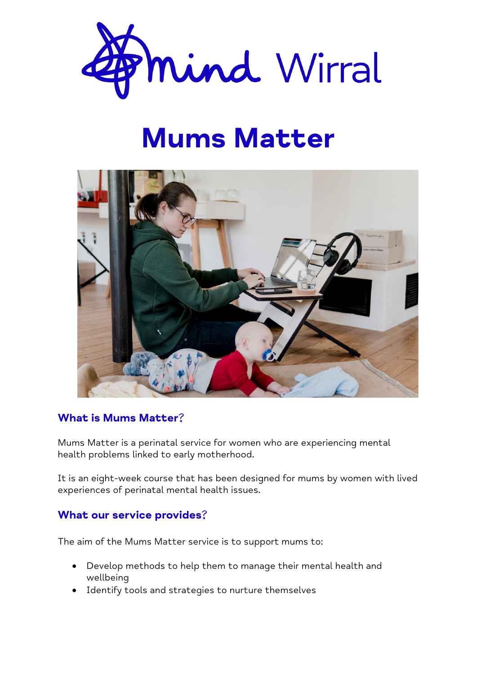

# Mums Matter



## What is Mums Matter?

Mums Matter is a perinatal service for women who are experiencing mental health problems linked to early motherhood.

It is an eight-week course that has been designed for mums by women with lived experiences of perinatal mental health issues.

#### What our service provides?

The aim of the Mums Matter service is to support mums to:

- Develop methods to help them to manage their mental health and wellbeing
- Identify tools and strategies to nurture themselves